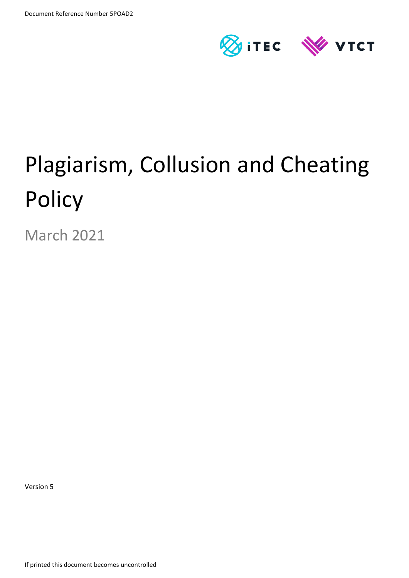

# Plagiarism, Collusion and Cheating **Policy**

March 2021

Version 5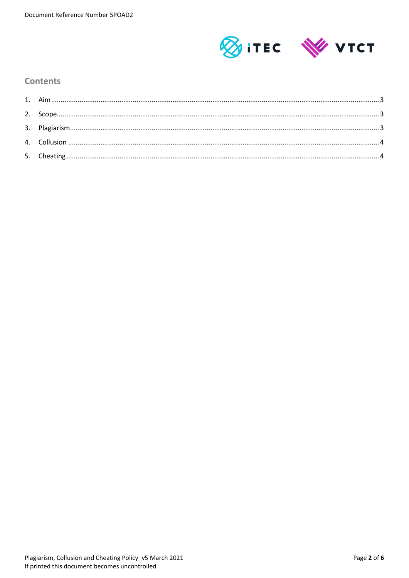

### **Contents**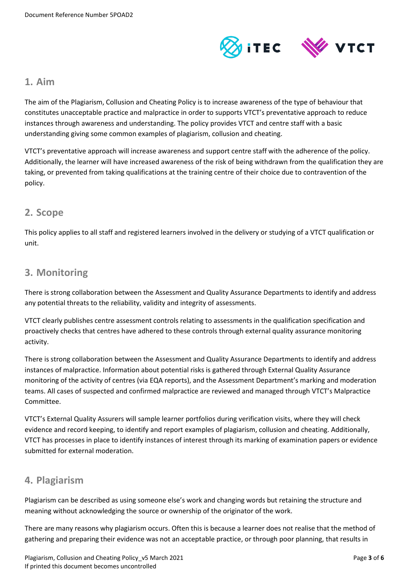

### <span id="page-2-0"></span>**1. Aim**

The aim of the Plagiarism, Collusion and Cheating Policy is to increase awareness of the type of behaviour that constitutes unacceptable practice and malpractice in order to supports VTCT's preventative approach to reduce instances through awareness and understanding. The policy provides VTCT and centre staff with a basic understanding giving some common examples of plagiarism, collusion and cheating.

VTCT's preventative approach will increase awareness and support centre staff with the adherence of the policy. Additionally, the learner will have increased awareness of the risk of being withdrawn from the qualification they are taking, or prevented from taking qualifications at the training centre of their choice due to contravention of the policy.

## <span id="page-2-1"></span>**2. Scope**

This policy applies to all staff and registered learners involved in the delivery or studying of a VTCT qualification or unit.

# <span id="page-2-2"></span>**3. Monitoring**

There is strong collaboration between the Assessment and Quality Assurance Departments to identify and address any potential threats to the reliability, validity and integrity of assessments.

VTCT clearly publishes centre assessment controls relating to assessments in the qualification specification and proactively checks that centres have adhered to these controls through external quality assurance monitoring activity.

There is strong collaboration between the Assessment and Quality Assurance Departments to identify and address instances of malpractice. Information about potential risks is gathered through External Quality Assurance monitoring of the activity of centres (via EQA reports), and the Assessment Department's marking and moderation teams. All cases of suspected and confirmed malpractice are reviewed and managed through VTCT's Malpractice Committee.

VTCT's External Quality Assurers will sample learner portfolios during verification visits, where they will check evidence and record keeping, to identify and report examples of plagiarism, collusion and cheating. Additionally, VTCT has processes in place to identify instances of interest through its marking of examination papers or evidence submitted for external moderation.

## **4. Plagiarism**

Plagiarism can be described as using someone else's work and changing words but retaining the structure and meaning without acknowledging the source or ownership of the originator of the work.

There are many reasons why plagiarism occurs. Often this is because a learner does not realise that the method of gathering and preparing their evidence was not an acceptable practice, or through poor planning, that results in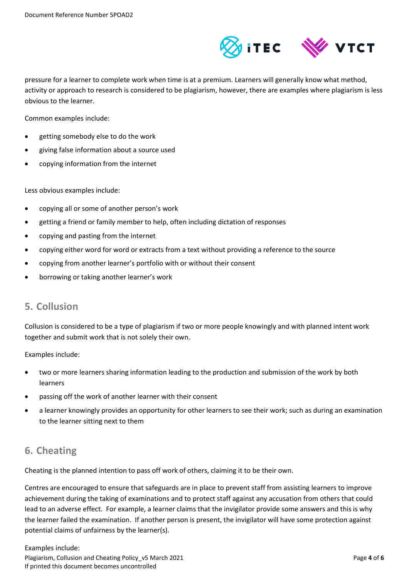

pressure for a learner to complete work when time is at a premium. Learners will generally know what method, activity or approach to research is considered to be plagiarism, however, there are examples where plagiarism is less obvious to the learner.

Common examples include:

- getting somebody else to do the work
- giving false information about a source used
- copying information from the internet

Less obvious examples include:

- copying all or some of another person's work
- getting a friend or family member to help, often including dictation of responses
- copying and pasting from the internet
- copying either word for word or extracts from a text without providing a reference to the source
- copying from another learner's portfolio with or without their consent
- <span id="page-3-0"></span>borrowing or taking another learner's work

## **5. Collusion**

Collusion is considered to be a type of plagiarism if two or more people knowingly and with planned intent work together and submit work that is not solely their own.

Examples include:

- two or more learners sharing information leading to the production and submission of the work by both learners
- passing off the work of another learner with their consent
- a learner knowingly provides an opportunity for other learners to see their work; such as during an examination to the learner sitting next to them

# <span id="page-3-1"></span>**6. Cheating**

Cheating is the planned intention to pass off work of others, claiming it to be their own.

Centres are encouraged to ensure that safeguards are in place to prevent staff from assisting learners to improve achievement during the taking of examinations and to protect staff against any accusation from others that could lead to an adverse effect. For example, a learner claims that the invigilator provide some answers and this is why the learner failed the examination. If another person is present, the invigilator will have some protection against potential claims of unfairness by the learner(s).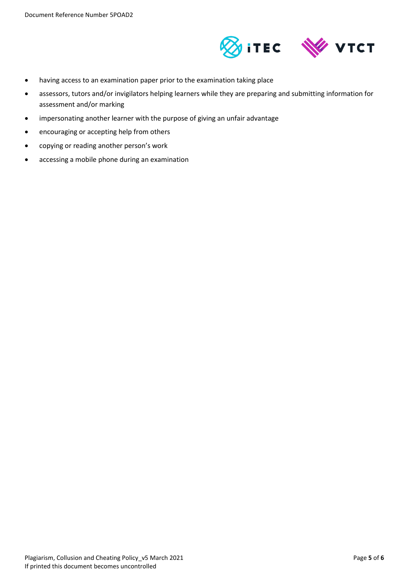

- having access to an examination paper prior to the examination taking place
- assessors, tutors and/or invigilators helping learners while they are preparing and submitting information for assessment and/or marking
- impersonating another learner with the purpose of giving an unfair advantage
- encouraging or accepting help from others
- copying or reading another person's work
- accessing a mobile phone during an examination